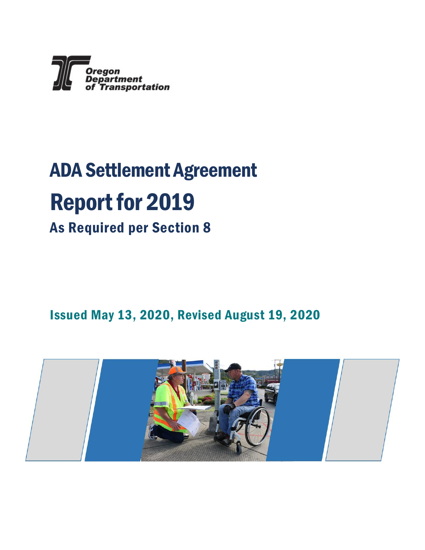

# ADA Settlement Agreement Report for 2019

As Required per Section 8

Issued May 13, 2020, Revised August 19, 2020

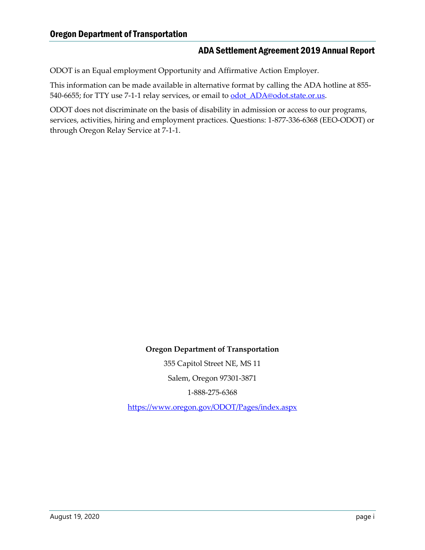ODOT is an Equal employment Opportunity and Affirmative Action Employer.

This information can be made available in alternative format by calling the ADA hotline at 855- 540-6655; for TTY use 7-1-1 relay services, or email to **odot** ADA@odot.state.or.us.

ODOT does not discriminate on the basis of disability in admission or access to our programs, services, activities, hiring and employment practices. Questions: 1-877-336-6368 (EEO-ODOT) or through Oregon Relay Service at 7-1-1.

**Oregon Department of Transportation**

355 Capitol Street NE, MS 11 Salem, Oregon 97301-3871

1-888-275-6368

<https://www.oregon.gov/ODOT/Pages/index.aspx>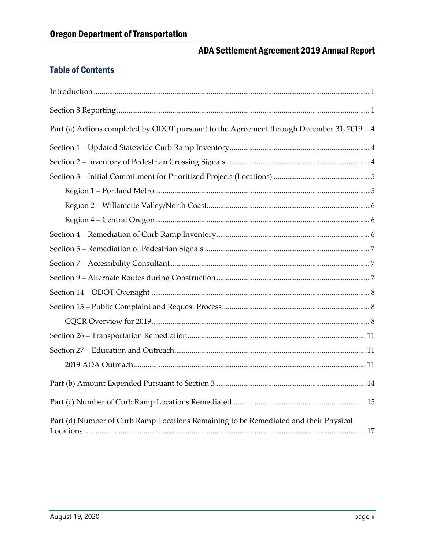### Table of Contents

| Part (a) Actions completed by ODOT pursuant to the Agreement through December 31, 2019  4 |
|-------------------------------------------------------------------------------------------|
|                                                                                           |
|                                                                                           |
|                                                                                           |
|                                                                                           |
|                                                                                           |
|                                                                                           |
|                                                                                           |
|                                                                                           |
|                                                                                           |
|                                                                                           |
|                                                                                           |
|                                                                                           |
|                                                                                           |
|                                                                                           |
|                                                                                           |
|                                                                                           |
|                                                                                           |
|                                                                                           |
| Part (d) Number of Curb Ramp Locations Remaining to be Remediated and their Physical      |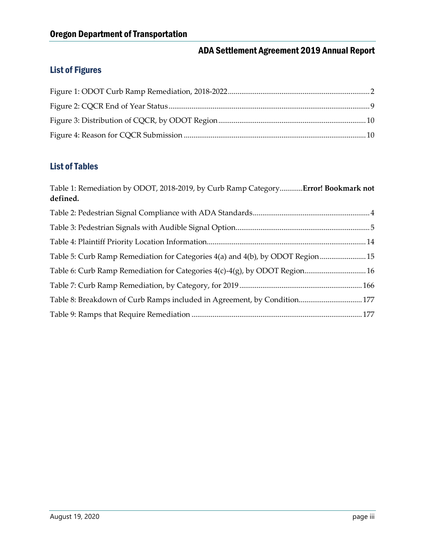### List of Figures

#### List of Tables

| Table 1: Remediation by ODOT, 2018-2019, by Curb Ramp Category Error! Bookmark not<br>defined. |  |
|------------------------------------------------------------------------------------------------|--|
|                                                                                                |  |
|                                                                                                |  |
|                                                                                                |  |
| Table 5: Curb Ramp Remediation for Categories 4(a) and 4(b), by ODOT Region  15                |  |
| Table 6: Curb Ramp Remediation for Categories 4(c)-4(g), by ODOT Region 16                     |  |
|                                                                                                |  |
| Table 8: Breakdown of Curb Ramps included in Agreement, by Condition 177                       |  |
|                                                                                                |  |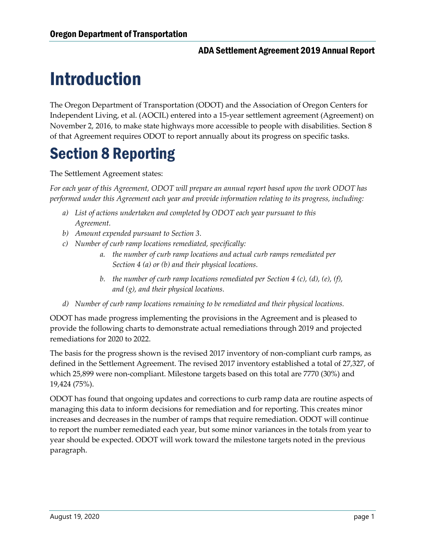# <span id="page-4-0"></span>Introduction

The Oregon Department of Transportation (ODOT) and the Association of Oregon Centers for Independent Living, et al. (AOCIL) entered into a 15-year settlement agreement (Agreement) on November 2, 2016, to make state highways more accessible to people with disabilities. Section 8 of that Agreement requires ODOT to report annually about its progress on specific tasks.

### <span id="page-4-1"></span>Section 8 Reporting

The Settlement Agreement states:

*For each year of this Agreement, ODOT will prepare an annual report based upon the work ODOT has performed under this Agreement each year and provide information relating to its progress, including:*

- *a) List of actions undertaken and completed by ODOT each year pursuant to this Agreement.*
- *b) Amount expended pursuant to Section 3.*
- *c) Number of curb ramp locations remediated, specifically:*
	- *a. the number of curb ramp locations and actual curb ramps remediated per Section 4 (a) or (b) and their physical locations.*
	- *b. the number of curb ramp locations remediated per Section 4 (c), (d), (e), (f), and (g), and their physical locations.*
- *d) Number of curb ramp locations remaining to be remediated and their physical locations.*

ODOT has made progress implementing the provisions in the Agreement and is pleased to provide the following charts to demonstrate actual remediations through 2019 and projected remediations for 2020 to 2022.

The basis for the progress shown is the revised 2017 inventory of non-compliant curb ramps, as defined in the Settlement Agreement. The revised 2017 inventory established a total of 27,327, of which 25,899 were non-compliant. Milestone targets based on this total are 7770 (30%) and 19,424 (75%).

<span id="page-4-2"></span>ODOT has found that ongoing updates and corrections to curb ramp data are routine aspects of managing this data to inform decisions for remediation and for reporting. This creates minor increases and decreases in the number of ramps that require remediation. ODOT will continue to report the number remediated each year, but some minor variances in the totals from year to year should be expected. ODOT will work toward the milestone targets noted in the previous paragraph.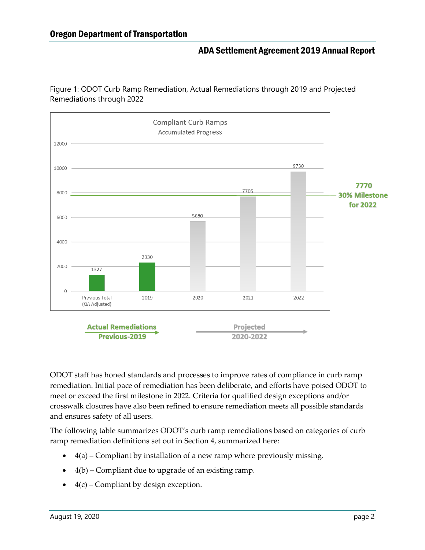Figure 1: ODOT Curb Ramp Remediation, Actual Remediations through 2019 and Projected Remediations through 2022



ODOT staff has honed standards and processes to improve rates of compliance in curb ramp remediation. Initial pace of remediation has been deliberate, and efforts have poised ODOT to meet or exceed the first milestone in 2022. Criteria for qualified design exceptions and/or crosswalk closures have also been refined to ensure remediation meets all possible standards and ensures safety of all users.

The following table summarizes ODOT's curb ramp remediations based on categories of curb ramp remediation definitions set out in Section 4, summarized here:

- $\bullet$  4(a) Compliant by installation of a new ramp where previously missing.
- 4(b) Compliant due to upgrade of an existing ramp.
- $\bullet$  4(c) Compliant by design exception.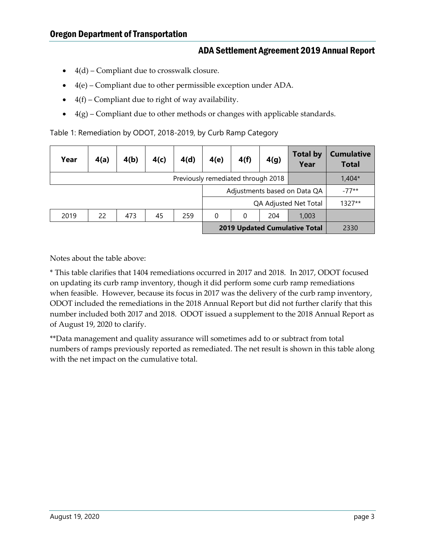- $\bullet$  4(d) Compliant due to crosswalk closure.
- $\bullet$  4(e) Compliant due to other permissible exception under ADA.
- $\bullet$  4(f) Compliant due to right of way availability.
- $\bullet$  4(g) Compliant due to other methods or changes with applicable standards.

Table 1: Remediation by ODOT, 2018-2019, by Curb Ramp Category

| Year                         | 4(a)                               | 4(b) | 4(c) | 4(d) | 4(e) | 4(f)     | 4(g)                  | <b>Total by</b><br>Year              | <b>Cumulative</b><br><b>Total</b> |
|------------------------------|------------------------------------|------|------|------|------|----------|-----------------------|--------------------------------------|-----------------------------------|
|                              | Previously remediated through 2018 |      |      |      |      |          |                       | $1,404*$                             |                                   |
| Adjustments based on Data QA |                                    |      |      |      |      | $-77**$  |                       |                                      |                                   |
|                              |                                    |      |      |      |      |          | QA Adjusted Net Total | $1327**$                             |                                   |
| 2019                         | 22                                 | 473  | 45   | 259  | 0    | $\Omega$ | 204                   | 1,003                                |                                   |
|                              |                                    |      |      |      |      |          |                       | <b>2019 Updated Cumulative Total</b> | 2330                              |

Notes about the table above:

\* This table clarifies that 1404 remediations occurred in 2017 and 2018. In 2017, ODOT focused on updating its curb ramp inventory, though it did perform some curb ramp remediations when feasible. However, because its focus in 2017 was the delivery of the curb ramp inventory, ODOT included the remediations in the 2018 Annual Report but did not further clarify that this number included both 2017 and 2018. ODOT issued a supplement to the 2018 Annual Report as of August 19, 2020 to clarify.

\*\*Data management and quality assurance will sometimes add to or subtract from total numbers of ramps previously reported as remediated. The net result is shown in this table along with the net impact on the cumulative total.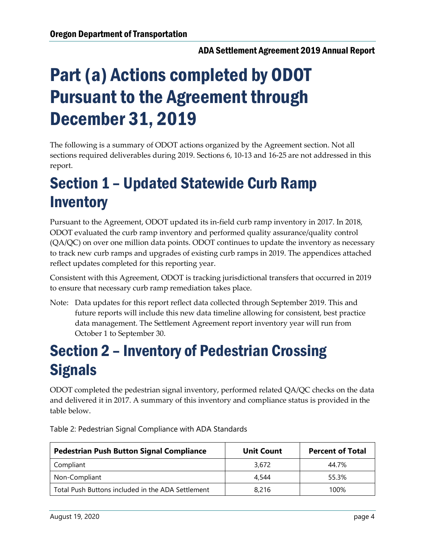# <span id="page-7-0"></span>Part (a) Actions completed by ODOT Pursuant to the Agreement through December 31, 2019

The following is a summary of ODOT actions organized by the Agreement section. Not all sections required deliverables during 2019. Sections 6, 10-13 and 16-25 are not addressed in this report.

### <span id="page-7-1"></span>Section 1 – Updated Statewide Curb Ramp **Inventory**

Pursuant to the Agreement, ODOT updated its in-field curb ramp inventory in 2017. In 2018, ODOT evaluated the curb ramp inventory and performed quality assurance/quality control (QA/QC) on over one million data points. ODOT continues to update the inventory as necessary to track new curb ramps and upgrades of existing curb ramps in 2019. The appendices attached reflect updates completed for this reporting year.

Consistent with this Agreement, ODOT is tracking jurisdictional transfers that occurred in 2019 to ensure that necessary curb ramp remediation takes place.

Note: Data updates for this report reflect data collected through September 2019. This and future reports will include this new data timeline allowing for consistent, best practice data management. The Settlement Agreement report inventory year will run from October 1 to September 30.

### <span id="page-7-2"></span>Section 2 – Inventory of Pedestrian Crossing **Signals**

ODOT completed the pedestrian signal inventory, performed related QA/QC checks on the data and delivered it in 2017. A summary of this inventory and compliance status is provided in the table below.

| <b>Pedestrian Push Button Signal Compliance</b>   | <b>Unit Count</b> | <b>Percent of Total</b> |
|---------------------------------------------------|-------------------|-------------------------|
| Compliant                                         | 3.672             | 44.7%                   |
| Non-Compliant                                     | 4.544             | 55.3%                   |
| Total Push Buttons included in the ADA Settlement | 8,216             | 100%                    |

<span id="page-7-3"></span>Table 2: Pedestrian Signal Compliance with ADA Standards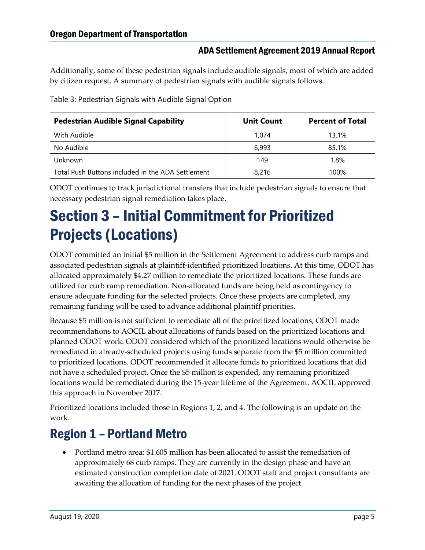Additionally, some of these pedestrian signals include audible signals, most of which are added by citizen request. A summary of pedestrian signals with audible signals follows.

| <b>Pedestrian Audible Signal Capability</b>       | <b>Unit Count</b> | <b>Percent of Total</b> |
|---------------------------------------------------|-------------------|-------------------------|
| With Audible                                      | 1.074             | 13.1%                   |
| No Audible                                        | 6.993             | 85.1%                   |
| Unknown                                           | 149               | 1.8%                    |
| Total Push Buttons included in the ADA Settlement | 8,216             | 100%                    |

<span id="page-8-2"></span>Table 3: Pedestrian Signals with Audible Signal Option

ODOT continues to track jurisdictional transfers that include pedestrian signals to ensure that necessary pedestrian signal remediation takes place.

### <span id="page-8-0"></span>Section 3 – Initial Commitment for Prioritized Projects (Locations)

ODOT committed an initial \$5 million in the Settlement Agreement to address curb ramps and associated pedestrian signals at plaintiff-identified prioritized locations. At this time, ODOT has allocated approximately \$4.27 million to remediate the prioritized locations. These funds are utilized for curb ramp remediation. Non-allocated funds are being held as contingency to ensure adequate funding for the selected projects. Once these projects are completed, any remaining funding will be used to advance additional plaintiff priorities.

Because \$5 million is not sufficient to remediate all of the prioritized locations, ODOT made recommendations to AOCIL about allocations of funds based on the prioritized locations and planned ODOT work. ODOT considered which of the prioritized locations would otherwise be remediated in already-scheduled projects using funds separate from the \$5 million committed to prioritized locations. ODOT recommended it allocate funds to prioritized locations that did not have a scheduled project. Once the \$5 million is expended, any remaining prioritized locations would be remediated during the 15-year lifetime of the Agreement. AOCIL approved this approach in November 2017.

Prioritized locations included those in Regions 1, 2, and 4. The following is an update on the work.

### <span id="page-8-1"></span>Region 1 – Portland Metro

 Portland metro area: \$1.605 million has been allocated to assist the remediation of approximately 68 curb ramps. They are currently in the design phase and have an estimated construction completion date of 2021. ODOT staff and project consultants are awaiting the allocation of funding for the next phases of the project.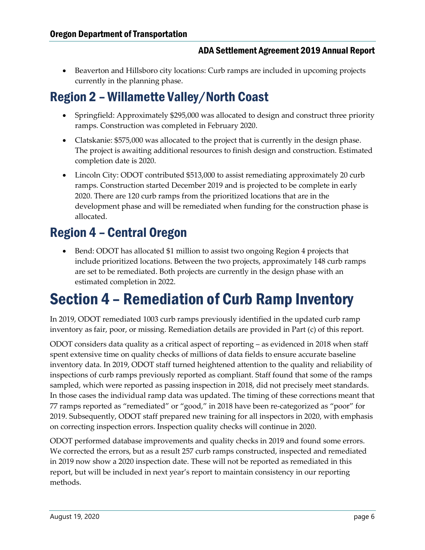Beaverton and Hillsboro city locations: Curb ramps are included in upcoming projects currently in the planning phase.

### <span id="page-9-0"></span>Region 2 – Willamette Valley/North Coast

- Springfield: Approximately \$295,000 was allocated to design and construct three priority ramps. Construction was completed in February 2020.
- Clatskanie: \$575,000 was allocated to the project that is currently in the design phase. The project is awaiting additional resources to finish design and construction. Estimated completion date is 2020.
- Lincoln City: ODOT contributed \$513,000 to assist remediating approximately 20 curb ramps. Construction started December 2019 and is projected to be complete in early 2020. There are 120 curb ramps from the prioritized locations that are in the development phase and will be remediated when funding for the construction phase is allocated.

### <span id="page-9-1"></span>Region 4 – Central Oregon

 Bend: ODOT has allocated \$1 million to assist two ongoing Region 4 projects that include prioritized locations. Between the two projects, approximately 148 curb ramps are set to be remediated. Both projects are currently in the design phase with an estimated completion in 2022.

### <span id="page-9-2"></span>Section 4 – Remediation of Curb Ramp Inventory

In 2019, ODOT remediated 1003 curb ramps previously identified in the updated curb ramp inventory as fair, poor, or missing. Remediation details are provided in Part (c) of this report.

ODOT considers data quality as a critical aspect of reporting – as evidenced in 2018 when staff spent extensive time on quality checks of millions of data fields to ensure accurate baseline inventory data. In 2019, ODOT staff turned heightened attention to the quality and reliability of inspections of curb ramps previously reported as compliant. Staff found that some of the ramps sampled, which were reported as passing inspection in 2018, did not precisely meet standards. In those cases the individual ramp data was updated. The timing of these corrections meant that 77 ramps reported as "remediated" or "good," in 2018 have been re-categorized as "poor" for 2019. Subsequently, ODOT staff prepared new training for all inspectors in 2020, with emphasis on correcting inspection errors. Inspection quality checks will continue in 2020.

ODOT performed database improvements and quality checks in 2019 and found some errors. We corrected the errors, but as a result 257 curb ramps constructed, inspected and remediated in 2019 now show a 2020 inspection date. These will not be reported as remediated in this report, but will be included in next year's report to maintain consistency in our reporting methods.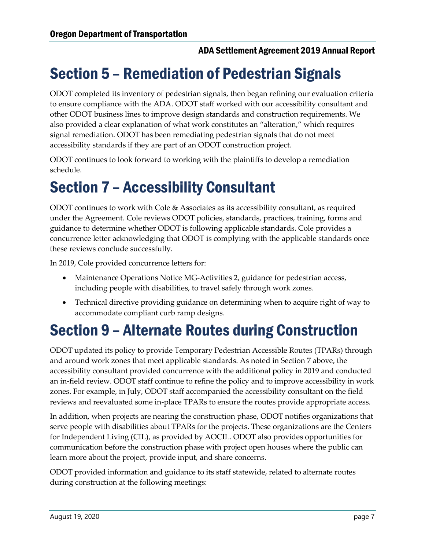### <span id="page-10-0"></span>Section 5 – Remediation of Pedestrian Signals

ODOT completed its inventory of pedestrian signals, then began refining our evaluation criteria to ensure compliance with the ADA. ODOT staff worked with our accessibility consultant and other ODOT business lines to improve design standards and construction requirements. We also provided a clear explanation of what work constitutes an "alteration," which requires signal remediation. ODOT has been remediating pedestrian signals that do not meet accessibility standards if they are part of an ODOT construction project.

ODOT continues to look forward to working with the plaintiffs to develop a remediation schedule.

### <span id="page-10-1"></span>Section 7 – Accessibility Consultant

ODOT continues to work with Cole & Associates as its accessibility consultant, as required under the Agreement. Cole reviews ODOT policies, standards, practices, training, forms and guidance to determine whether ODOT is following applicable standards. Cole provides a concurrence letter acknowledging that ODOT is complying with the applicable standards once these reviews conclude successfully.

In 2019, Cole provided concurrence letters for:

- Maintenance Operations Notice MG-Activities 2, guidance for pedestrian access, including people with disabilities, to travel safely through work zones.
- Technical directive providing guidance on determining when to acquire right of way to accommodate compliant curb ramp designs.

### <span id="page-10-2"></span>Section 9 – Alternate Routes during Construction

ODOT updated its policy to provide Temporary Pedestrian Accessible Routes (TPARs) through and around work zones that meet applicable standards. As noted in Section 7 above, the accessibility consultant provided concurrence with the additional policy in 2019 and conducted an in-field review. ODOT staff continue to refine the policy and to improve accessibility in work zones. For example, in July, ODOT staff accompanied the accessibility consultant on the field reviews and reevaluated some in-place TPARs to ensure the routes provide appropriate access.

In addition, when projects are nearing the construction phase, ODOT notifies organizations that serve people with disabilities about TPARs for the projects. These organizations are the Centers for Independent Living (CIL), as provided by AOCIL. ODOT also provides opportunities for communication before the construction phase with project open houses where the public can learn more about the project, provide input, and share concerns.

ODOT provided information and guidance to its staff statewide, related to alternate routes during construction at the following meetings: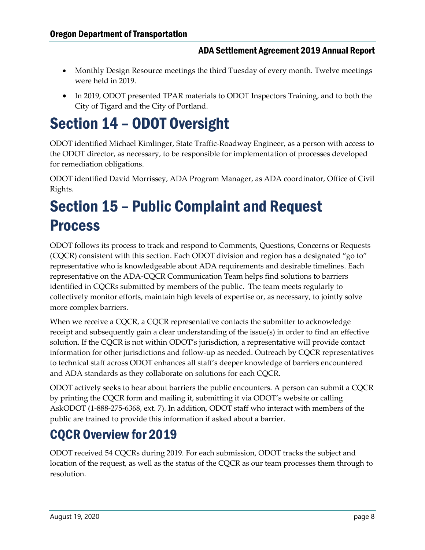- Monthly Design Resource meetings the third Tuesday of every month. Twelve meetings were held in 2019.
- In 2019, ODOT presented TPAR materials to ODOT Inspectors Training, and to both the City of Tigard and the City of Portland.

### <span id="page-11-0"></span>Section 14 – ODOT Oversight

ODOT identified Michael Kimlinger, State Traffic-Roadway Engineer, as a person with access to the ODOT director, as necessary, to be responsible for implementation of processes developed for remediation obligations.

ODOT identified David Morrissey, ADA Program Manager, as ADA coordinator, Office of Civil Rights.

### <span id="page-11-1"></span>Section 15 – Public Complaint and Request **Process**

ODOT follows its process to track and respond to Comments, Questions, Concerns or Requests (CQCR) consistent with this section. Each ODOT division and region has a designated "go to" representative who is knowledgeable about ADA requirements and desirable timelines. Each representative on the ADA-CQCR Communication Team helps find solutions to barriers identified in CQCRs submitted by members of the public. The team meets regularly to collectively monitor efforts, maintain high levels of expertise or, as necessary, to jointly solve more complex barriers.

When we receive a CQCR, a CQCR representative contacts the submitter to acknowledge receipt and subsequently gain a clear understanding of the issue(s) in order to find an effective solution. If the CQCR is not within ODOT's jurisdiction, a representative will provide contact information for other jurisdictions and follow-up as needed. Outreach by CQCR representatives to technical staff across ODOT enhances all staff's deeper knowledge of barriers encountered and ADA standards as they collaborate on solutions for each CQCR.

ODOT actively seeks to hear about barriers the public encounters. A person can submit a CQCR by printing the CQCR form and mailing it, submitting it via ODOT's website or calling AskODOT (1-888-275-6368, ext. 7). In addition, ODOT staff who interact with members of the public are trained to provide this information if asked about a barrier.

### <span id="page-11-2"></span>CQCR Overview for 2019

ODOT received 54 CQCRs during 2019. For each submission, ODOT tracks the subject and location of the request, as well as the status of the CQCR as our team processes them through to resolution.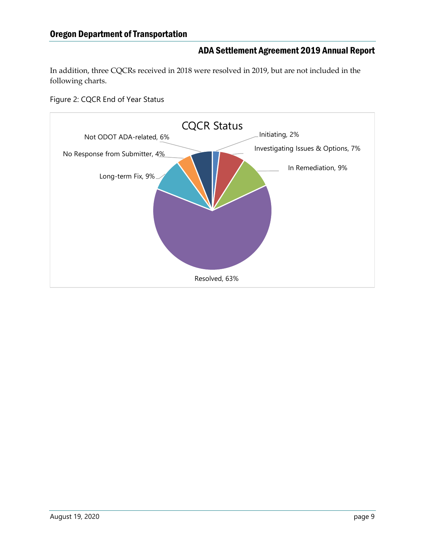In addition, three CQCRs received in 2018 were resolved in 2019, but are not included in the following charts.

<span id="page-12-0"></span>Figure 2: CQCR End of Year Status

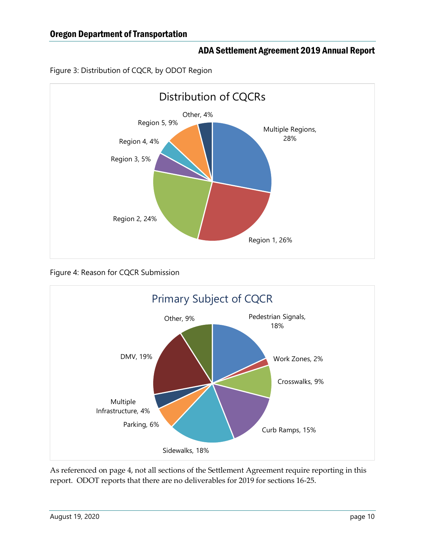<span id="page-13-0"></span>



<span id="page-13-1"></span>Figure 4: Reason for CQCR Submission



As referenced on page 4, not all sections of the Settlement Agreement require reporting in this report. ODOT reports that there are no deliverables for 2019 for sections 16-25.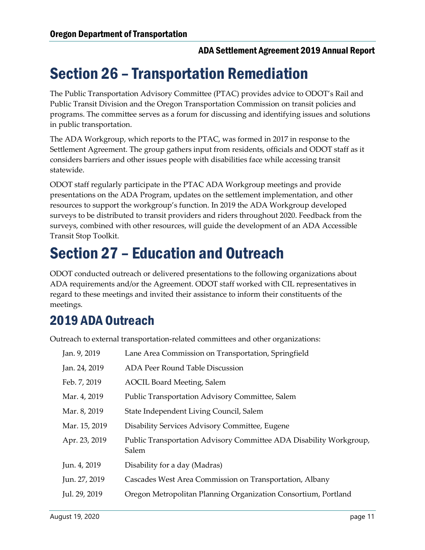### <span id="page-14-0"></span>Section 26 – Transportation Remediation

The Public Transportation Advisory Committee (PTAC) provides advice to ODOT's Rail and Public Transit Division and the Oregon Transportation Commission on transit policies and programs. The committee serves as a forum for discussing and identifying issues and solutions in public transportation.

The ADA Workgroup, which reports to the PTAC, was formed in 2017 in response to the Settlement Agreement. The group gathers input from residents, officials and ODOT staff as it considers barriers and other issues people with disabilities face while accessing transit statewide.

ODOT staff regularly participate in the PTAC ADA Workgroup meetings and provide presentations on the ADA Program, updates on the settlement implementation, and other resources to support the workgroup's function. In 2019 the ADA Workgroup developed surveys to be distributed to transit providers and riders throughout 2020. Feedback from the surveys, combined with other resources, will guide the development of an ADA Accessible Transit Stop Toolkit.

### <span id="page-14-1"></span>Section 27 – Education and Outreach

ODOT conducted outreach or delivered presentations to the following organizations about ADA requirements and/or the Agreement. ODOT staff worked with CIL representatives in regard to these meetings and invited their assistance to inform their constituents of the meetings.

### <span id="page-14-2"></span>2019 ADA Outreach

Outreach to external transportation-related committees and other organizations:

| Jan. 9, 2019  | Lane Area Commission on Transportation, Springfield                         |
|---------------|-----------------------------------------------------------------------------|
| Jan. 24, 2019 | ADA Peer Round Table Discussion                                             |
| Feb. 7, 2019  | <b>AOCIL Board Meeting, Salem</b>                                           |
| Mar. 4, 2019  | Public Transportation Advisory Committee, Salem                             |
| Mar. 8, 2019  | State Independent Living Council, Salem                                     |
| Mar. 15, 2019 | Disability Services Advisory Committee, Eugene                              |
| Apr. 23, 2019 | Public Transportation Advisory Committee ADA Disability Workgroup,<br>Salem |
| Jun. 4, 2019  | Disability for a day (Madras)                                               |
| Jun. 27, 2019 | Cascades West Area Commission on Transportation, Albany                     |
| Jul. 29, 2019 | Oregon Metropolitan Planning Organization Consortium, Portland              |
|               |                                                                             |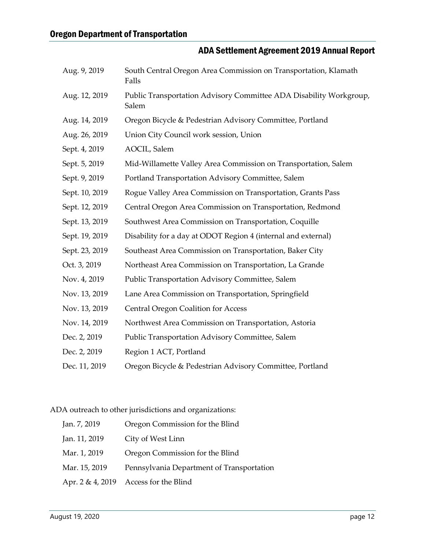| Aug. 9, 2019   | South Central Oregon Area Commission on Transportation, Klamath<br>Falls    |
|----------------|-----------------------------------------------------------------------------|
| Aug. 12, 2019  | Public Transportation Advisory Committee ADA Disability Workgroup,<br>Salem |
| Aug. 14, 2019  | Oregon Bicycle & Pedestrian Advisory Committee, Portland                    |
| Aug. 26, 2019  | Union City Council work session, Union                                      |
| Sept. 4, 2019  | AOCIL, Salem                                                                |
| Sept. 5, 2019  | Mid-Willamette Valley Area Commission on Transportation, Salem              |
| Sept. 9, 2019  | Portland Transportation Advisory Committee, Salem                           |
| Sept. 10, 2019 | Rogue Valley Area Commission on Transportation, Grants Pass                 |
| Sept. 12, 2019 | Central Oregon Area Commission on Transportation, Redmond                   |
| Sept. 13, 2019 | Southwest Area Commission on Transportation, Coquille                       |
| Sept. 19, 2019 | Disability for a day at ODOT Region 4 (internal and external)               |
| Sept. 23, 2019 | Southeast Area Commission on Transportation, Baker City                     |
| Oct. 3, 2019   | Northeast Area Commission on Transportation, La Grande                      |
| Nov. 4, 2019   | Public Transportation Advisory Committee, Salem                             |
| Nov. 13, 2019  | Lane Area Commission on Transportation, Springfield                         |
| Nov. 13, 2019  | <b>Central Oregon Coalition for Access</b>                                  |
| Nov. 14, 2019  | Northwest Area Commission on Transportation, Astoria                        |
| Dec. 2, 2019   | Public Transportation Advisory Committee, Salem                             |
| Dec. 2, 2019   | Region 1 ACT, Portland                                                      |
| Dec. 11, 2019  | Oregon Bicycle & Pedestrian Advisory Committee, Portland                    |

ADA outreach to other jurisdictions and organizations:

| Jan. 7, 2019  | Oregon Commission for the Blind           |
|---------------|-------------------------------------------|
| Jan. 11, 2019 | City of West Linn                         |
| Mar. 1, 2019  | Oregon Commission for the Blind           |
| Mar. 15, 2019 | Pennsylvania Department of Transportation |
|               | Apr. $2 \& 4$ , 2019 Access for the Blind |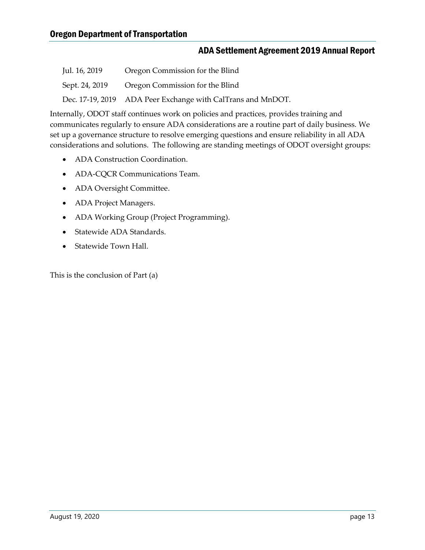| Jul. 16, 2019  | Oregon Commission for the Blind                             |
|----------------|-------------------------------------------------------------|
| Sept. 24, 2019 | Oregon Commission for the Blind                             |
|                | Dec. 17-19, 2019 ADA Peer Exchange with CalTrans and MnDOT. |

Internally, ODOT staff continues work on policies and practices, provides training and communicates regularly to ensure ADA considerations are a routine part of daily business. We set up a governance structure to resolve emerging questions and ensure reliability in all ADA considerations and solutions. The following are standing meetings of ODOT oversight groups:

- ADA Construction Coordination.
- ADA-CQCR Communications Team.
- ADA Oversight Committee.
- ADA Project Managers.
- ADA Working Group (Project Programming).
- Statewide ADA Standards.
- Statewide Town Hall.

This is the conclusion of Part (a)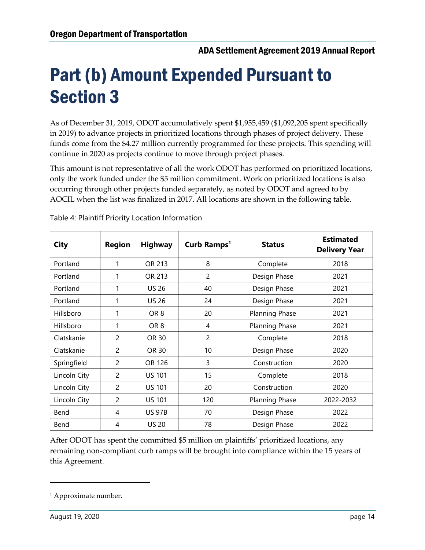# <span id="page-17-0"></span>Part (b) Amount Expended Pursuant to Section 3

As of December 31, 2019, ODOT accumulatively spent \$1,955,459 (\$1,092,205 spent specifically in 2019) to advance projects in prioritized locations through phases of project delivery. These funds come from the \$4.27 million currently programmed for these projects. This spending will continue in 2020 as projects continue to move through project phases.

This amount is not representative of all the work ODOT has performed on prioritized locations, only the work funded under the \$5 million commitment. Work on prioritized locations is also occurring through other projects funded separately, as noted by ODOT and agreed to by AOCIL when the list was finalized in 2017. All locations are shown in the following table.

| <b>City</b>  | <b>Region</b>  | <b>Highway</b>  | Curb Ramps <sup>1</sup><br><b>Status</b> |                | <b>Estimated</b><br><b>Delivery Year</b> |
|--------------|----------------|-----------------|------------------------------------------|----------------|------------------------------------------|
| Portland     | 1              | OR 213          | 8                                        | Complete       | 2018                                     |
| Portland     |                | OR 213          | $\overline{2}$                           | Design Phase   | 2021                                     |
| Portland     | 1              | <b>US 26</b>    | 40                                       | Design Phase   | 2021                                     |
| Portland     | 1              | <b>US 26</b>    | 24                                       | Design Phase   | 2021                                     |
| Hillsboro    | 1              | OR <sub>8</sub> | 20                                       | Planning Phase | 2021                                     |
| Hillsboro    | 1              | OR <sub>8</sub> | 4                                        | Planning Phase | 2021                                     |
| Clatskanie   | $\overline{c}$ | OR 30           | $\overline{2}$                           | Complete       | 2018                                     |
| Clatskanie   | $\overline{c}$ | OR 30           | 10                                       | Design Phase   | 2020                                     |
| Springfield  | $\overline{c}$ | OR 126          | 3                                        | Construction   | 2020                                     |
| Lincoln City | $\overline{2}$ | <b>US 101</b>   | 15                                       | Complete       | 2018                                     |
| Lincoln City | $\mathcal{P}$  | <b>US 101</b>   | 20                                       | Construction   | 2020                                     |
| Lincoln City | $\overline{2}$ | <b>US 101</b>   | 120                                      | Planning Phase | 2022-2032                                |
| Bend         | 4              | <b>US 97B</b>   | 70                                       | Design Phase   | 2022                                     |
| Bend         | 4              | <b>US 20</b>    | 78                                       | Design Phase   | 2022                                     |

<span id="page-17-1"></span>Table 4: Plaintiff Priority Location Information

After ODOT has spent the committed \$5 million on plaintiffs' prioritized locations, any remaining non-compliant curb ramps will be brought into compliance within the 15 years of this Agreement.

 $\overline{a}$ 

<sup>&</sup>lt;sup>1</sup> Approximate number.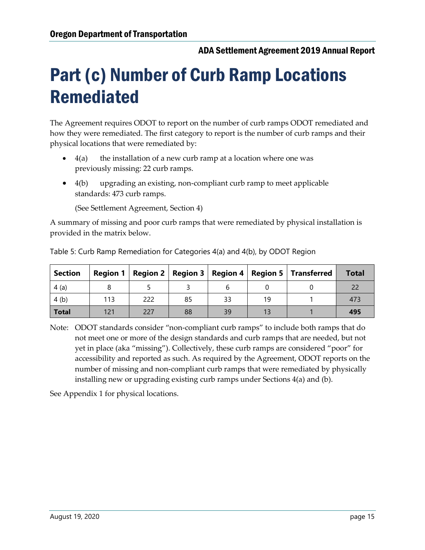# <span id="page-18-0"></span>Part (c) Number of Curb Ramp Locations Remediated

The Agreement requires ODOT to report on the number of curb ramps ODOT remediated and how they were remediated. The first category to report is the number of curb ramps and their physical locations that were remediated by:

- $4(a)$  the installation of a new curb ramp at a location where one was previously missing: 22 curb ramps.
- 4(b) upgrading an existing, non-compliant curb ramp to meet applicable standards: 473 curb ramps.

(See Settlement Agreement, Section 4)

A summary of missing and poor curb ramps that were remediated by physical installation is provided in the matrix below.

| <b>Section</b> |     |     |    |    |    | Region 1   Region 2   Region 3   Region 4   Region 5   Transferred | <b>Total</b> |
|----------------|-----|-----|----|----|----|--------------------------------------------------------------------|--------------|
| 4(a)           |     |     |    |    |    |                                                                    |              |
| 4(b)           | 113 | 222 | 85 | 33 | 19 |                                                                    | 473          |
| <b>Total</b>   | 121 | 227 | 88 | 39 |    |                                                                    | 495          |

<span id="page-18-1"></span>Table 5: Curb Ramp Remediation for Categories 4(a) and 4(b), by ODOT Region

Note: ODOT standards consider "non-compliant curb ramps" to include both ramps that do not meet one or more of the design standards and curb ramps that are needed, but not yet in place (aka "missing"). Collectively, these curb ramps are considered "poor" for accessibility and reported as such. As required by the Agreement, ODOT reports on the number of missing and non-compliant curb ramps that were remediated by physically installing new or upgrading existing curb ramps under Sections 4(a) and (b).

See Appendix 1 for physical locations.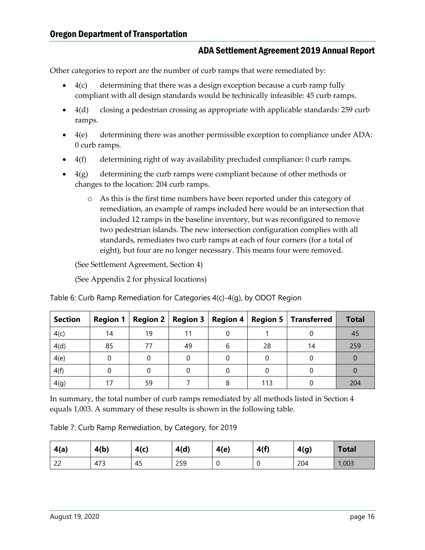Other categories to report are the number of curb ramps that were remediated by:

- 4(c) determining that there was a design exception because a curb ramp fully compliant with all design standards would be technically infeasible: 45 curb ramps.
- 4(d) closing a pedestrian crossing as appropriate with applicable standards: 259 curb ramps.
- $\bullet$  4(e) determining there was another permissible exception to compliance under ADA: 0 curb ramps.
- 4(f) determining right of way availability precluded compliance: 0 curb ramps.
- 4(g) determining the curb ramps were compliant because of other methods or changes to the location: 204 curb ramps.
	- o As this is the first time numbers have been reported under this category of remediation, an example of ramps included here would be an intersection that included 12 ramps in the baseline inventory, but was reconfigured to remove two pedestrian islands. The new intersection configuration complies with all standards, remediates two curb ramps at each of four corners (for a total of eight), but four are no longer necessary. This means four were removed.

(See Settlement Agreement, Section 4)

(See Appendix 2 for physical locations)

| <b>Section</b> | <b>Region 1</b> |    | Region 2   Region 3 | <b>Region 4</b> |     | <b>Region 5   Transferred</b> | <b>Total</b> |
|----------------|-----------------|----|---------------------|-----------------|-----|-------------------------------|--------------|
| 4(c)           | 14              | 19 |                     |                 |     |                               | 45           |
| 4(d)           | 85              | 77 | 49                  |                 | 28  | 14                            | 259          |
| 4(e)           |                 |    |                     |                 |     |                               |              |
| 4(f)           |                 |    |                     |                 |     |                               |              |
| 4(g)           |                 | 59 |                     |                 | 113 |                               | 204          |

<span id="page-19-0"></span>Table 6: Curb Ramp Remediation for Categories 4(c)-4(g), by ODOT Region

In summary, the total number of curb ramps remediated by all methods listed in Section 4 equals 1,003. A summary of these results is shown in the following table.

<span id="page-19-1"></span>Table 7: Curb Ramp Remediation, by Category, for 2019

| 4(a) | 4(b) | 4(c) | 4(d) | 4(e) | 4(f) | 4(g) | <b>Total</b> |
|------|------|------|------|------|------|------|--------------|
| 22   | 473  | 45   | 259  |      |      | 204  | 1,003        |